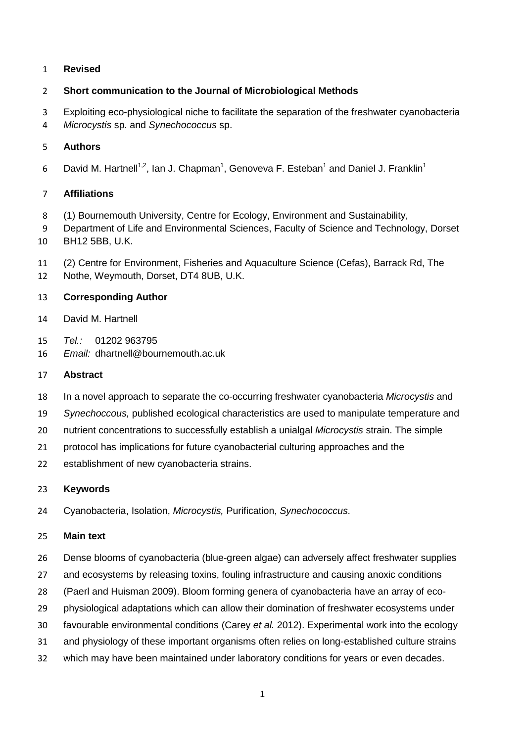### **Revised**

## **Short communication to the Journal of Microbiological Methods**

- Exploiting eco-physiological niche to facilitate the separation of the freshwater cyanobacteria
- *Microcystis* sp. and *Synechococcus* sp.

## **Authors**

David M. Hartnell<sup>1,2</sup>, Ian J. Chapman<sup>1</sup>, Genoveva F. Esteban<sup>1</sup> and Daniel J. Franklin<sup>1</sup> 

# **Affiliations**

- (1) Bournemouth University, Centre for Ecology, Environment and Sustainability,
- Department of Life and Environmental Sciences, Faculty of Science and Technology, Dorset BH12 5BB, U.K.
- (2) Centre for Environment, Fisheries and Aquaculture Science (Cefas), Barrack Rd, The
- Nothe, Weymouth, Dorset, DT4 8UB, U.K.

# **Corresponding Author**

- David M. Hartnell
- *Tel.:* 01202 963795
- *Email:* dhartnell@bournemouth.ac.uk

### **Abstract**

- In a novel approach to separate the co-occurring freshwater cyanobacteria *Microcystis* and
- *Synechoccous,* published ecological characteristics are used to manipulate temperature and
- nutrient concentrations to successfully establish a unialgal *Microcystis* strain. The simple
- protocol has implications for future cyanobacterial culturing approaches and the
- establishment of new cyanobacteria strains.

### **Keywords**

Cyanobacteria, Isolation, *Microcystis,* Purification, *Synechococcus*.

### **Main text**

- Dense blooms of cyanobacteria (blue-green algae) can adversely affect freshwater supplies
- 27 and ecosystems by releasing toxins, fouling infrastructure and causing anoxic conditions
- (Paerl and Huisman 2009). Bloom forming genera of cyanobacteria have an array of eco-
- physiological adaptations which can allow their domination of freshwater ecosystems under
- favourable environmental conditions (Carey *et al.* 2012). Experimental work into the ecology
- and physiology of these important organisms often relies on long-established culture strains
- which may have been maintained under laboratory conditions for years or even decades.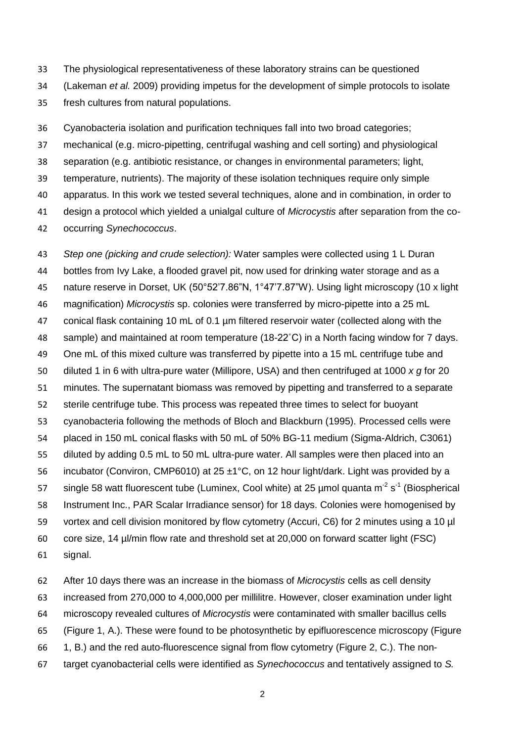The physiological representativeness of these laboratory strains can be questioned

- (Lakeman *et al.* 2009) providing impetus for the development of simple protocols to isolate
- fresh cultures from natural populations.

 Cyanobacteria isolation and purification techniques fall into two broad categories; mechanical (e.g. micro-pipetting, centrifugal washing and cell sorting) and physiological separation (e.g. antibiotic resistance, or changes in environmental parameters; light, temperature, nutrients). The majority of these isolation techniques require only simple apparatus. In this work we tested several techniques, alone and in combination, in order to design a protocol which yielded a unialgal culture of *Microcystis* after separation from the co-occurring *Synechococcus*.

 *Step one (picking and crude selection):* Water samples were collected using 1 L Duran bottles from Ivy Lake, a flooded gravel pit, now used for drinking water storage and as a nature reserve in Dorset, UK (50°52'7.86"N, 1°47'7.87"W). Using light microscopy (10 x light magnification) *Microcystis* sp. colonies were transferred by micro-pipette into a 25 mL conical flask containing 10 mL of 0.1 µm filtered reservoir water (collected along with the sample) and maintained at room temperature (18-22˚C) in a North facing window for 7 days. One mL of this mixed culture was transferred by pipette into a 15 mL centrifuge tube and diluted 1 in 6 with ultra-pure water (Millipore, USA) and then centrifuged at 1000 *x g* for 20 minutes. The supernatant biomass was removed by pipetting and transferred to a separate sterile centrifuge tube. This process was repeated three times to select for buoyant cyanobacteria following the methods of Bloch and Blackburn (1995). Processed cells were placed in 150 mL conical flasks with 50 mL of 50% BG-11 medium (Sigma-Aldrich, C3061) diluted by adding 0.5 mL to 50 mL ultra-pure water. All samples were then placed into an incubator (Conviron, CMP6010) at 25 ±1°C, on 12 hour light/dark. Light was provided by a 57 single 58 watt fluorescent tube (Luminex, Cool white) at 25 µmol quanta m<sup>-2</sup> s<sup>-1</sup> (Biospherical Instrument Inc., PAR Scalar Irradiance sensor) for 18 days. Colonies were homogenised by vortex and cell division monitored by flow cytometry (Accuri, C6) for 2 minutes using a 10 µl core size, 14 µl/min flow rate and threshold set at 20,000 on forward scatter light (FSC) signal.

 After 10 days there was an increase in the biomass of *Microcystis* cells as cell density increased from 270,000 to 4,000,000 per millilitre. However, closer examination under light microscopy revealed cultures of *Microcystis* were contaminated with smaller bacillus cells (Figure 1, A.). These were found to be photosynthetic by epifluorescence microscopy (Figure 1, B.) and the red auto-fluorescence signal from flow cytometry (Figure 2, C.). The non-target cyanobacterial cells were identified as *Synechococcus* and tentatively assigned to *S.*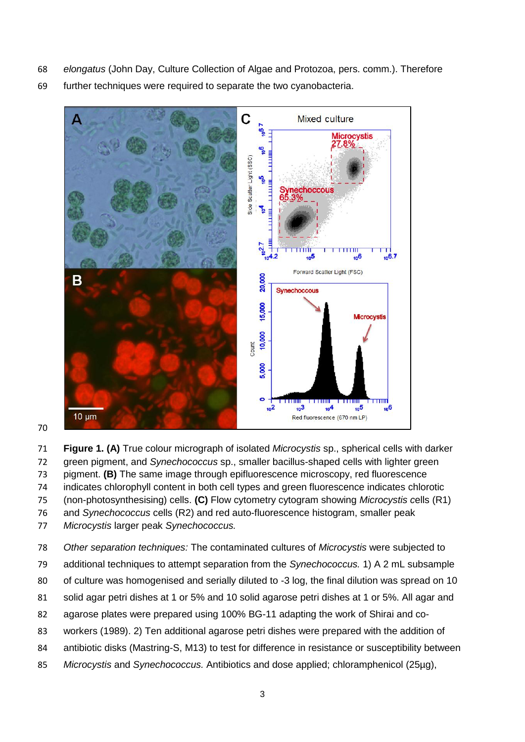- *elongatus* (John Day, Culture Collection of Algae and Protozoa, pers. comm.). Therefore
- further techniques were required to separate the two cyanobacteria.



#### 

 **Figure 1. (A)** True colour micrograph of isolated *Microcystis* sp., spherical cells with darker green pigment, and *Synechococcus* sp., smaller bacillus-shaped cells with lighter green pigment. **(B)** The same image through epifluorescence microscopy, red fluorescence indicates chlorophyll content in both cell types and green fluorescence indicates chlorotic (non-photosynthesising) cells. **(C)** Flow cytometry cytogram showing *Microcystis c*ells (R1) and *Synechococcus* cells (R2) and red auto-fluorescence histogram, smaller peak *Microcystis* larger peak *Synechococcus.*

- *Other separation techniques:* The contaminated cultures of *Microcystis* were subjected to
- additional techniques to attempt separation from the *Synechococcus.* 1) A 2 mL subsample
- of culture was homogenised and serially diluted to -3 log, the final dilution was spread on 10
- solid agar petri dishes at 1 or 5% and 10 solid agarose petri dishes at 1 or 5%. All agar and
- agarose plates were prepared using 100% BG-11 adapting the work of Shirai and co-
- workers (1989). 2) Ten additional agarose petri dishes were prepared with the addition of
- antibiotic disks (Mastring-S, M13) to test for difference in resistance or susceptibility between
- *Microcystis* and *Synechococcus.* Antibiotics and dose applied; chloramphenicol (25µg),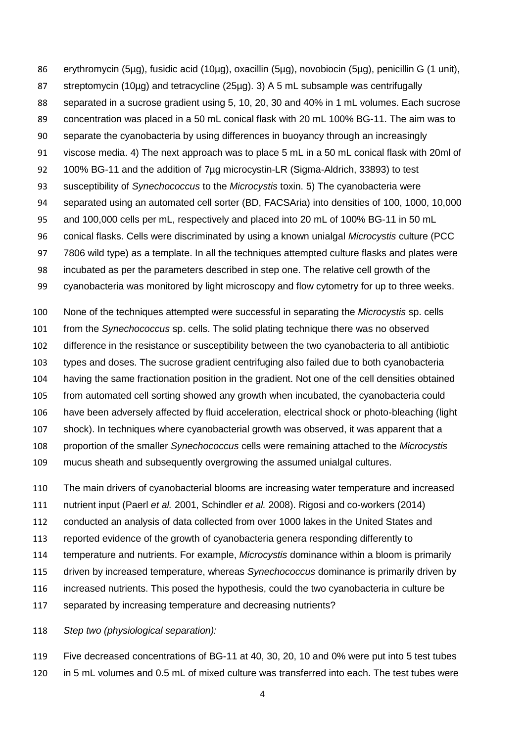erythromycin (5µg), fusidic acid (10µg), oxacillin (5µg), novobiocin (5µg), penicillin G (1 unit), streptomycin (10µg) and tetracycline (25µg). 3) A 5 mL subsample was centrifugally separated in a sucrose gradient using 5, 10, 20, 30 and 40% in 1 mL volumes. Each sucrose concentration was placed in a 50 mL conical flask with 20 mL 100% BG-11. The aim was to separate the cyanobacteria by using differences in buoyancy through an increasingly viscose media. 4) The next approach was to place 5 mL in a 50 mL conical flask with 20ml of 100% BG-11 and the addition of 7µg microcystin-LR (Sigma-Aldrich, 33893) to test susceptibility of *Synechococcus* to the *Microcystis* toxin. 5) The cyanobacteria were separated using an automated cell sorter (BD, FACSAria) into densities of 100, 1000, 10,000 and 100,000 cells per mL, respectively and placed into 20 mL of 100% BG-11 in 50 mL conical flasks. Cells were discriminated by using a known unialgal *Microcystis* culture (PCC 7806 wild type) as a template. In all the techniques attempted culture flasks and plates were incubated as per the parameters described in step one. The relative cell growth of the cyanobacteria was monitored by light microscopy and flow cytometry for up to three weeks.

 None of the techniques attempted were successful in separating the *Microcystis* sp. cells from the *Synechococcus* sp. cells. The solid plating technique there was no observed difference in the resistance or susceptibility between the two cyanobacteria to all antibiotic types and doses. The sucrose gradient centrifuging also failed due to both cyanobacteria having the same fractionation position in the gradient. Not one of the cell densities obtained from automated cell sorting showed any growth when incubated, the cyanobacteria could have been adversely affected by fluid acceleration, electrical shock or photo-bleaching (light shock). In techniques where cyanobacterial growth was observed, it was apparent that a proportion of the smaller *Synechococcus* cells were remaining attached to the *Microcystis* mucus sheath and subsequently overgrowing the assumed unialgal cultures.

The main drivers of cyanobacterial blooms are increasing water temperature and increased

- nutrient input (Paerl *et al.* 2001, Schindler *et al.* 2008). Rigosi and co-workers (2014)
- conducted an analysis of data collected from over 1000 lakes in the United States and
- reported evidence of the growth of cyanobacteria genera responding differently to
- temperature and nutrients. For example, *Microcystis* dominance within a bloom is primarily
- driven by increased temperature, whereas *Synechococcus* dominance is primarily driven by
- increased nutrients. This posed the hypothesis, could the two cyanobacteria in culture be
- separated by increasing temperature and decreasing nutrients?

*Step two (physiological separation):* 

 Five decreased concentrations of BG-11 at 40, 30, 20, 10 and 0% were put into 5 test tubes in 5 mL volumes and 0.5 mL of mixed culture was transferred into each. The test tubes were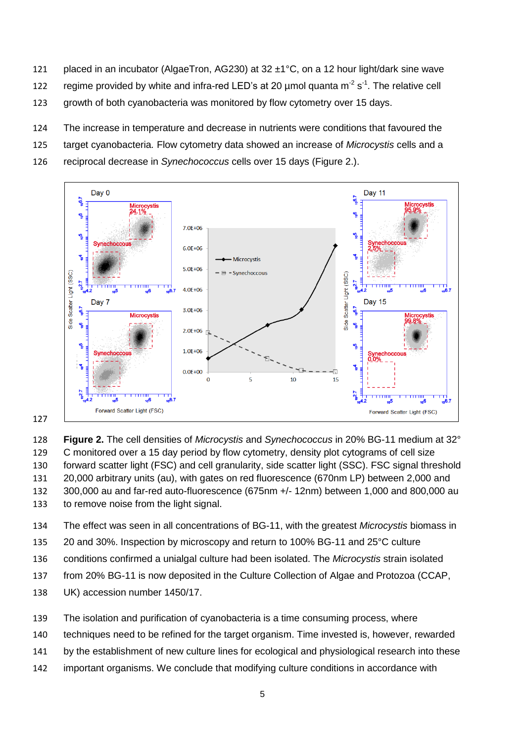- 121 placed in an incubator (AlgaeTron, AG230) at 32 ±1°C, on a 12 hour light/dark sine wave
- 122 regime provided by white and infra-red LED's at 20  $\mu$ mol quanta m<sup>-2</sup> s<sup>-1</sup>. The relative cell
- growth of both cyanobacteria was monitored by flow cytometry over 15 days.
- The increase in temperature and decrease in nutrients were conditions that favoured the
- target cyanobacteria*.* Flow cytometry data showed an increase of *Microcystis* cells and a
- reciprocal decrease in *Synechococcus* cells over 15 days (Figure 2.).



 **Figure 2.** The cell densities of *Microcystis* and *Synechococcus* in 20% BG-11 medium at 32° C monitored over a 15 day period by flow cytometry, density plot cytograms of cell size forward scatter light (FSC) and cell granularity, side scatter light (SSC). FSC signal threshold 20,000 arbitrary units (au), with gates on red fluorescence (670nm LP) between 2,000 and 300,000 au and far-red auto-fluorescence (675nm +/- 12nm) between 1,000 and 800,000 au to remove noise from the light signal.

- The effect was seen in all concentrations of BG-11, with the greatest *Microcystis* biomass in
- 20 and 30%. Inspection by microscopy and return to 100% BG-11 and 25°C culture
- conditions confirmed a unialgal culture had been isolated. The *Microcystis* strain isolated
- from 20% BG-11 is now deposited in the Culture Collection of Algae and Protozoa (CCAP,
- UK) accession number 1450/17.
- The isolation and purification of cyanobacteria is a time consuming process, where
- techniques need to be refined for the target organism. Time invested is, however, rewarded
- by the establishment of new culture lines for ecological and physiological research into these
- important organisms. We conclude that modifying culture conditions in accordance with